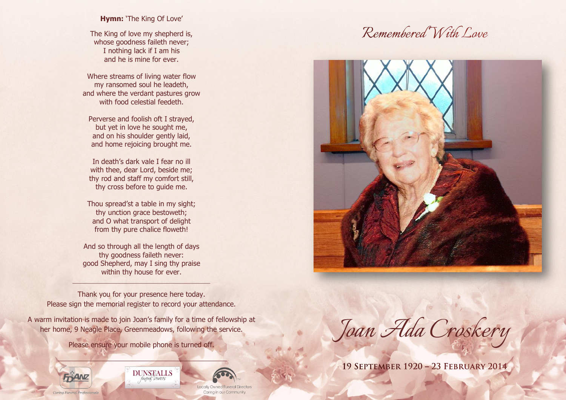# **Hymn:** 'The King Of Love'

The King of love my shepherd is, whose goodness faileth never; I nothing lack if I am his and he is mine for ever.

Where streams of living water flow my ransomed soul he leadeth, and where the verdant pastures grow with food celestial feedeth.

Perverse and foolish oft I strayed, but yet in love he sought me, and on his shoulder gently laid, and home rejoicing brought me.

In death's dark vale I fear no ill with thee, dear Lord, beside me; thy rod and staff my comfort still, thy cross before to guide me.

Thou spread'st a table in my sight; thy unction grace bestoweth; and O what transport of delight from thy pure chalice floweth!

And so through all the length of days thy goodness faileth never: good Shepherd, may I sing thy praise within thy house for ever.

\_\_\_\_\_\_\_\_\_\_\_\_\_\_\_\_\_\_\_\_\_\_\_\_\_\_\_\_\_\_\_\_\_\_\_\_\_\_\_\_\_

Thank you for your presence here today. Please sign the memorial register to record your attendance.

A warm invitation is made to join Joan's family for a time of fellowship at her home, 9 Neagle Place, Greenmeadows, following the service.

Please ensure your mobile phone is turned off.

**DUNSTALLS** funeral services



Locally Owned Funeral Directors Carina in our Community

# Remembered With Love



*Joan Ada Croskery*

19 SEPTEMBER 1920 - 23 FEBRUARY 2014